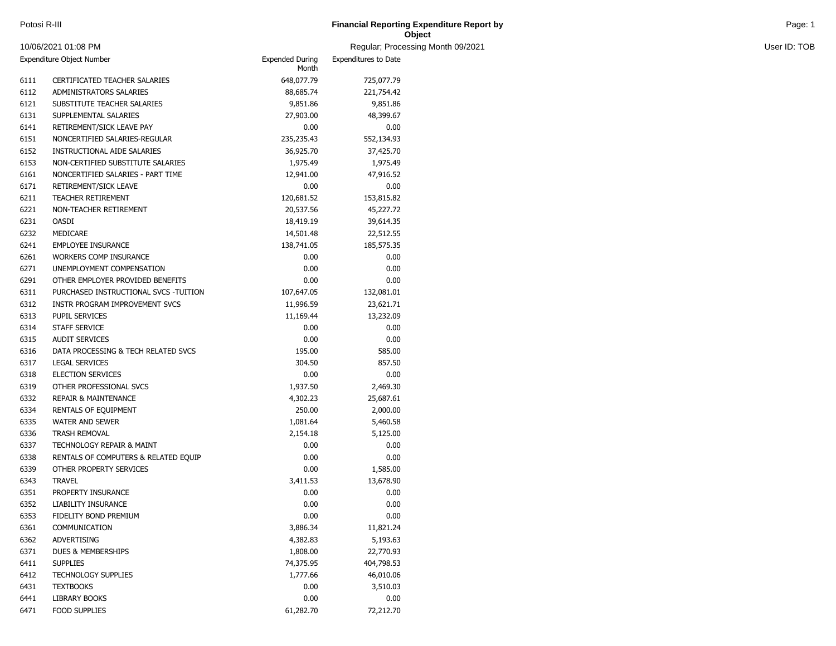| Potosi R-III<br><b>Financial Reporting Expenditure Report by</b> |                                   | Page: 1      |  |
|------------------------------------------------------------------|-----------------------------------|--------------|--|
|                                                                  | Object                            |              |  |
| 10/06/2021 01:08 PM                                              | Regular: Processing Month 09/2021 | User ID: TOB |  |

| Expenditure Object Number |                                       | <b>Expended During</b><br>Month | <b>Expenditures to Date</b> |
|---------------------------|---------------------------------------|---------------------------------|-----------------------------|
| 6111                      | CERTIFICATED TEACHER SALARIES         | 648,077.79                      | 725,077.79                  |
| 6112                      | ADMINISTRATORS SALARIES               | 88,685.74                       | 221,754.42                  |
| 6121                      | SUBSTITUTE TEACHER SALARIES           | 9,851.86                        | 9,851.86                    |
| 6131                      | SUPPLEMENTAL SALARIES                 | 27,903.00                       | 48,399.67                   |
| 6141                      | RETIREMENT/SICK LEAVE PAY             | 0.00                            | 0.00                        |
| 6151                      | NONCERTIFIED SALARIES-REGULAR         | 235,235.43                      | 552,134.93                  |
| 6152                      | INSTRUCTIONAL AIDE SALARIES           | 36,925.70                       | 37,425.70                   |
| 6153                      | NON-CERTIFIED SUBSTITUTE SALARIES     | 1,975.49                        | 1,975.49                    |
| 6161                      | NONCERTIFIED SALARIES - PART TIME     | 12,941.00                       | 47,916.52                   |
| 6171                      | RETIREMENT/SICK LEAVE                 | 0.00                            | 0.00                        |
| 6211                      | <b>TEACHER RETIREMENT</b>             | 120,681.52                      | 153,815.82                  |
| 6221                      | NON-TEACHER RETIREMENT                | 20,537.56                       | 45,227.72                   |
| 6231                      | <b>OASDI</b>                          | 18,419.19                       | 39,614.35                   |
| 6232                      | MEDICARE                              | 14,501.48                       | 22,512.55                   |
| 6241                      | <b>EMPLOYEE INSURANCE</b>             | 138,741.05                      | 185,575.35                  |
| 6261                      | <b>WORKERS COMP INSURANCE</b>         | 0.00                            | 0.00                        |
| 6271                      | UNEMPLOYMENT COMPENSATION             | 0.00                            | 0.00                        |
| 6291                      | OTHER EMPLOYER PROVIDED BENEFITS      | 0.00                            | 0.00                        |
| 6311                      | PURCHASED INSTRUCTIONAL SVCS -TUITION | 107,647.05                      | 132,081.01                  |
| 6312                      | INSTR PROGRAM IMPROVEMENT SVCS        | 11,996.59                       | 23,621.71                   |
| 6313                      | <b>PUPIL SERVICES</b>                 | 11,169.44                       | 13,232.09                   |
| 6314                      | STAFF SERVICE                         | 0.00                            | 0.00                        |
| 6315                      | <b>AUDIT SERVICES</b>                 | 0.00                            | 0.00                        |
| 6316                      | DATA PROCESSING & TECH RELATED SVCS   | 195.00                          | 585.00                      |
| 6317                      | <b>LEGAL SERVICES</b>                 | 304.50                          | 857.50                      |
| 6318                      | <b>ELECTION SERVICES</b>              | 0.00                            | 0.00                        |
| 6319                      | OTHER PROFESSIONAL SVCS               | 1,937.50                        | 2,469.30                    |
| 6332                      | <b>REPAIR &amp; MAINTENANCE</b>       | 4,302.23                        | 25,687.61                   |
| 6334                      | RENTALS OF EQUIPMENT                  | 250.00                          | 2,000.00                    |
| 6335                      | <b>WATER AND SEWER</b>                | 1,081.64                        | 5,460.58                    |
| 6336                      | <b>TRASH REMOVAL</b>                  | 2,154.18                        | 5,125.00                    |
| 6337                      | <b>TECHNOLOGY REPAIR &amp; MAINT</b>  | 0.00                            | 0.00                        |
| 6338                      | RENTALS OF COMPUTERS & RELATED EQUIP  | 0.00                            | 0.00                        |
| 6339                      | OTHER PROPERTY SERVICES               | 0.00                            | 1,585.00                    |
| 6343                      | <b>TRAVEL</b>                         | 3,411.53                        | 13,678.90                   |
| 6351                      | PROPERTY INSURANCE                    | 0.00                            | 0.00                        |
| 6352                      | <b>LIABILITY INSURANCE</b>            | 0.00                            | 0.00                        |
| 6353                      | FIDELITY BOND PREMIUM                 | 0.00                            | 0.00                        |
| 6361                      | COMMUNICATION                         | 3,886.34                        | 11,821.24                   |
| 6362                      | ADVERTISING                           | 4,382.83                        | 5,193.63                    |
| 6371                      | DUES & MEMBERSHIPS                    | 1,808.00                        | 22,770.93                   |
| 6411                      | <b>SUPPLIES</b>                       | 74,375.95                       | 404,798.53                  |
| 6412                      | <b>TECHNOLOGY SUPPLIES</b>            | 1,777.66                        | 46,010.06                   |
| 6431                      | <b>TEXTBOOKS</b>                      | 0.00                            | 3,510.03                    |
| 6441                      | <b>LIBRARY BOOKS</b>                  | 0.00                            | 0.00                        |
| 6471                      | FOOD SUPPLIES                         | 61,282.70                       | 72,212.70                   |